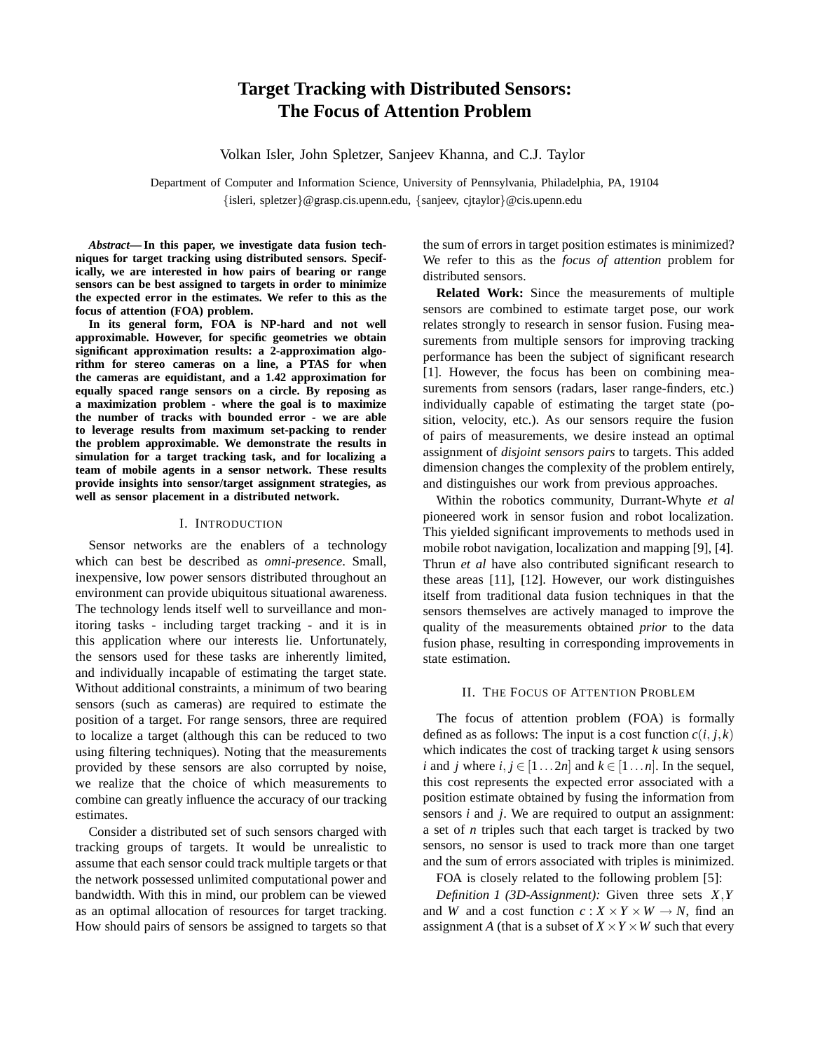# **Target Tracking with Distributed Sensors: The Focus of Attention Problem**

Volkan Isler, John Spletzer, Sanjeev Khanna, and C.J. Taylor

Department of Computer and Information Science, University of Pennsylvania, Philadelphia, PA, 19104 {isleri, spletzer}@grasp.cis.upenn.edu, {sanjeev, cjtaylor}@cis.upenn.edu

*Abstract***— In this paper, we investigate data fusion techniques for target tracking using distributed sensors. Specifically, we are interested in how pairs of bearing or range sensors can be best assigned to targets in order to minimize the expected error in the estimates. We refer to this as the focus of attention (FOA) problem.**

**In its general form, FOA is NP-hard and not well approximable. However, for specific geometries we obtain significant approximation results: a 2-approximation algorithm for stereo cameras on a line, a PTAS for when the cameras are equidistant, and a 1.42 approximation for equally spaced range sensors on a circle. By reposing as a maximization problem - where the goal is to maximize the number of tracks with bounded error - we are able to leverage results from maximum set-packing to render the problem approximable. We demonstrate the results in simulation for a target tracking task, and for localizing a team of mobile agents in a sensor network. These results provide insights into sensor/target assignment strategies, as well as sensor placement in a distributed network.**

### I. INTRODUCTION

Sensor networks are the enablers of a technology which can best be described as *omni-presence*. Small, inexpensive, low power sensors distributed throughout an environment can provide ubiquitous situational awareness. The technology lends itself well to surveillance and monitoring tasks - including target tracking - and it is in this application where our interests lie. Unfortunately, the sensors used for these tasks are inherently limited, and individually incapable of estimating the target state. Without additional constraints, a minimum of two bearing sensors (such as cameras) are required to estimate the position of a target. For range sensors, three are required to localize a target (although this can be reduced to two using filtering techniques). Noting that the measurements provided by these sensors are also corrupted by noise, we realize that the choice of which measurements to combine can greatly influence the accuracy of our tracking estimates.

Consider a distributed set of such sensors charged with tracking groups of targets. It would be unrealistic to assume that each sensor could track multiple targets or that the network possessed unlimited computational power and bandwidth. With this in mind, our problem can be viewed as an optimal allocation of resources for target tracking. How should pairs of sensors be assigned to targets so that the sum of errors in target position estimates is minimized? We refer to this as the *focus of attention* problem for distributed sensors.

**Related Work:** Since the measurements of multiple sensors are combined to estimate target pose, our work relates strongly to research in sensor fusion. Fusing measurements from multiple sensors for improving tracking performance has been the subject of significant research [1]. However, the focus has been on combining measurements from sensors (radars, laser range-finders, etc.) individually capable of estimating the target state (position, velocity, etc.). As our sensors require the fusion of pairs of measurements, we desire instead an optimal assignment of *disjoint sensors pairs* to targets. This added dimension changes the complexity of the problem entirely, and distinguishes our work from previous approaches.

Within the robotics community, Durrant-Whyte *et al* pioneered work in sensor fusion and robot localization. This yielded significant improvements to methods used in mobile robot navigation, localization and mapping [9], [4]. Thrun *et al* have also contributed significant research to these areas [11], [12]. However, our work distinguishes itself from traditional data fusion techniques in that the sensors themselves are actively managed to improve the quality of the measurements obtained *prior* to the data fusion phase, resulting in corresponding improvements in state estimation.

# II. THE FOCUS OF ATTENTION PROBLEM

The focus of attention problem (FOA) is formally defined as as follows: The input is a cost function  $c(i, j, k)$ which indicates the cost of tracking target *k* using sensors *i* and *j* where  $i, j \in [1...2n]$  and  $k \in [1...n]$ . In the sequel, this cost represents the expected error associated with a position estimate obtained by fusing the information from sensors *i* and *j*. We are required to output an assignment: a set of *n* triples such that each target is tracked by two sensors, no sensor is used to track more than one target and the sum of errors associated with triples is minimized.

FOA is closely related to the following problem [5]:

*Definition 1 (3D-Assignment):* Given three sets *X*,*Y* and *W* and a cost function  $c: X \times Y \times W \rightarrow N$ , find an assignment *A* (that is a subset of  $X \times Y \times W$  such that every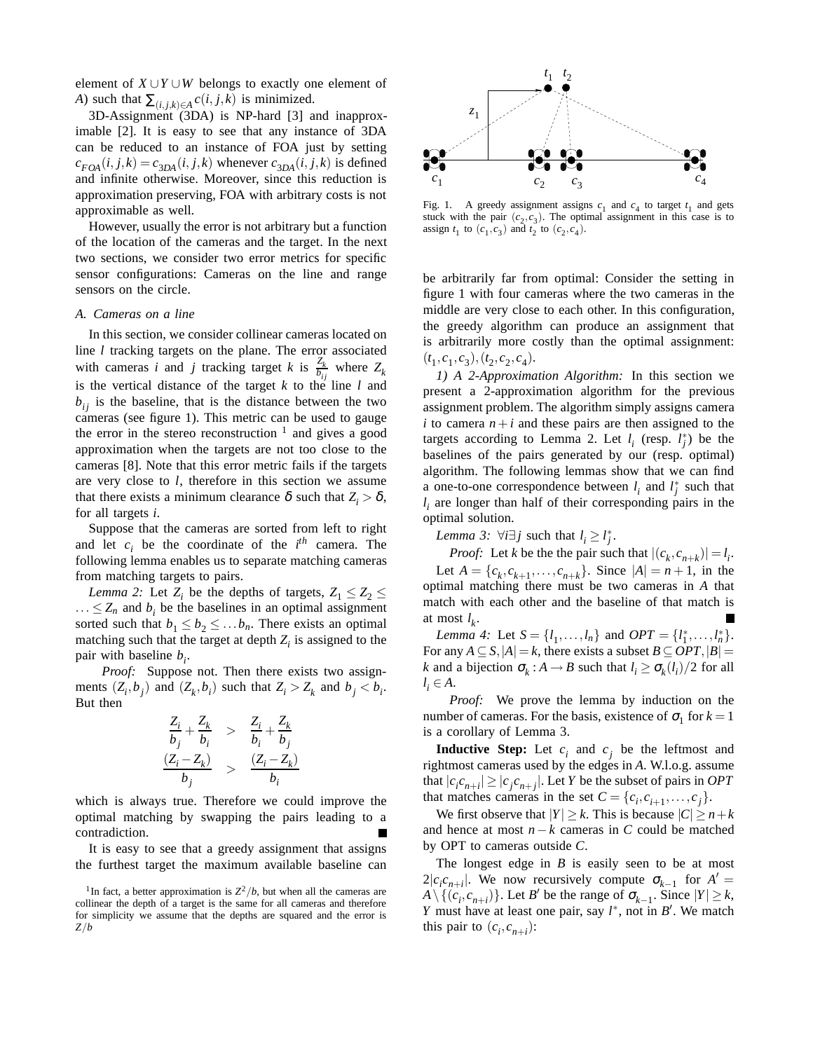element of  $X \cup Y \cup W$  belongs to exactly one element of *A*) such that  $\sum_{(i,j,k)\in A} c(i,j,k)$  is minimized.

3D-Assignment (3DA) is NP-hard [3] and inapproximable [2]. It is easy to see that any instance of 3DA can be reduced to an instance of FOA just by setting  $c_{FOA}(i, j, k) = c_{3DA}(i, j, k)$  whenever  $c_{3DA}(i, j, k)$  is defined and infinite otherwise. Moreover, since this reduction is approximation preserving, FOA with arbitrary costs is not approximable as well.

However, usually the error is not arbitrary but a function of the location of the cameras and the target. In the next two sections, we consider two error metrics for specific sensor configurations: Cameras on the line and range sensors on the circle.

#### *A. Cameras on a line*

In this section, we consider collinear cameras located on line *l* tracking targets on the plane. The error associated with cameras *i* and *j* tracking target *k* is  $\frac{Z_k}{b_{ij}}$  where  $Z_k$ is the vertical distance of the target  $k$  to the line  $l$  and  $b_{ij}$  is the baseline, that is the distance between the two cameras (see figure 1). This metric can be used to gauge the error in the stereo reconstruction  $\frac{1}{1}$  and gives a good approximation when the targets are not too close to the cameras [8]. Note that this error metric fails if the targets are very close to *l*, therefore in this section we assume that there exists a minimum clearance  $\delta$  such that  $Z_i > \delta$ , for all targets *i*.

Suppose that the cameras are sorted from left to right and let  $c_i$  be the coordinate of the  $i^{th}$  camera. The following lemma enables us to separate matching cameras from matching targets to pairs.

*Lemma 2:* Let  $Z_i$  be the depths of targets,  $Z_1 \leq Z_2 \leq Z_3$  $... \leq Z_n$  and  $b_i$  be the baselines in an optimal assignment sorted such that  $b_1 \leq b_2 \leq \ldots b_n$ . There exists an optimal matching such that the target at depth  $Z_i$  is assigned to the pair with baseline  $b_i$ .

*Proof:* Suppose not. Then there exists two assignments  $(Z_i, b_j)$  and  $(Z_k, b_i)$  such that  $Z_i > Z_k$  and  $b_j < b_i$ . But then

$$
\frac{Z_i}{b_j} + \frac{Z_k}{b_i} > \frac{Z_i}{b_i} + \frac{Z_k}{b_j}
$$
  

$$
\frac{(Z_i - Z_k)}{b_j} > \frac{(Z_i - Z_k)}{b_i}
$$

which is always true. Therefore we could improve the optimal matching by swapping the pairs leading to a contradiction.

It is easy to see that a greedy assignment that assigns the furthest target the maximum available baseline can



Fig. 1. A greedy assignment assigns  $c_1$  and  $c_4$  to target  $t_1$  and gets stuck with the pair  $(c_2, c_3)$ . The optimal assignment in this case is to assign  $t_1$  to  $(c_1, c_3)$  and  $t_2$  to  $(c_2, c_4)$ .

be arbitrarily far from optimal: Consider the setting in figure 1 with four cameras where the two cameras in the middle are very close to each other. In this configuration, the greedy algorithm can produce an assignment that is arbitrarily more costly than the optimal assignment:  $(t_1, c_1, c_3), (t_2, c_2, c_4).$ 

*1) A 2-Approximation Algorithm:* In this section we present a 2-approximation algorithm for the previous assignment problem. The algorithm simply assigns camera *i* to camera  $n + i$  and these pairs are then assigned to the targets according to Lemma 2. Let  $l_i$  (resp.  $l_j^*$ ) be the baselines of the pairs generated by our (resp. optimal) algorithm. The following lemmas show that we can find a one-to-one correspondence between  $l_i$  and  $l_j^*$  such that *l <sup>i</sup>* are longer than half of their corresponding pairs in the optimal solution.

*Lemma 3:*  $\forall i \exists j$  such that  $l_i \geq l_j^*$ .

*Proof:* Let *k* be the the pair such that  $|(c_k, c_{n+k})| = l_i$ . Let  $A = \{c_k, c_{k+1}, \ldots, c_{n+k}\}.$  Since  $|A| = n+1$ , in the optimal matching there must be two cameras in *A* that match with each other and the baseline of that match is at most  $l_k$ .

*Lemma 4:* Let  $S = \{l_1, ..., l_n\}$  and  $OPT = \{l_1^*, ..., l_n^*\}$ . For any  $A \subseteq S$ ,  $|A| = k$ , there exists a subset  $B \subseteq OPT$ ,  $|B| =$ *k* and a bijection  $\sigma_k : A \to B$  such that  $l_i \geq \sigma_k(l_i)/2$  for all  $l_i \in A$ .

*Proof:* We prove the lemma by induction on the number of cameras. For the basis, existence of  $\sigma_1$  for  $k = 1$ is a corollary of Lemma 3.

**Inductive Step:** Let  $c_i$  and  $c_j$  be the leftmost and rightmost cameras used by the edges in *A*. W.l.o.g. assume that  $|c_i c_{n+i}| \ge |c_j c_{n+j}|$ . Let *Y* be the subset of pairs in *OPT* that matches cameras in the set  $C = \{c_i, c_{i+1}, \ldots, c_j\}$ .

We first observe that  $|Y| \ge k$ . This is because  $|C| \ge n + k$ and hence at most *n*−*k* cameras in *C* could be matched by OPT to cameras outside *C*.

The longest edge in  $B$  is easily seen to be at most  $2|c_i c_{n+i}|$ . We now recursively compute  $\sigma_{k-1}$  for  $A' =$  $A \setminus \{(c_i, c_{n+i})\}$ . Let *B*<sup>*i*</sup> be the range of  $\sigma_{k-1}$ . Since  $|Y| \geq k$ , *Y* must have at least one pair, say  $l^*$ , not in *B'*. We match this pair to  $(c_i, c_{n+i})$ :

<sup>&</sup>lt;sup>1</sup>In fact, a better approximation is  $Z^2/b$ , but when all the cameras are collinear the depth of a target is the same for all cameras and therefore for simplicity we assume that the depths are squared and the error is *Z*/*b*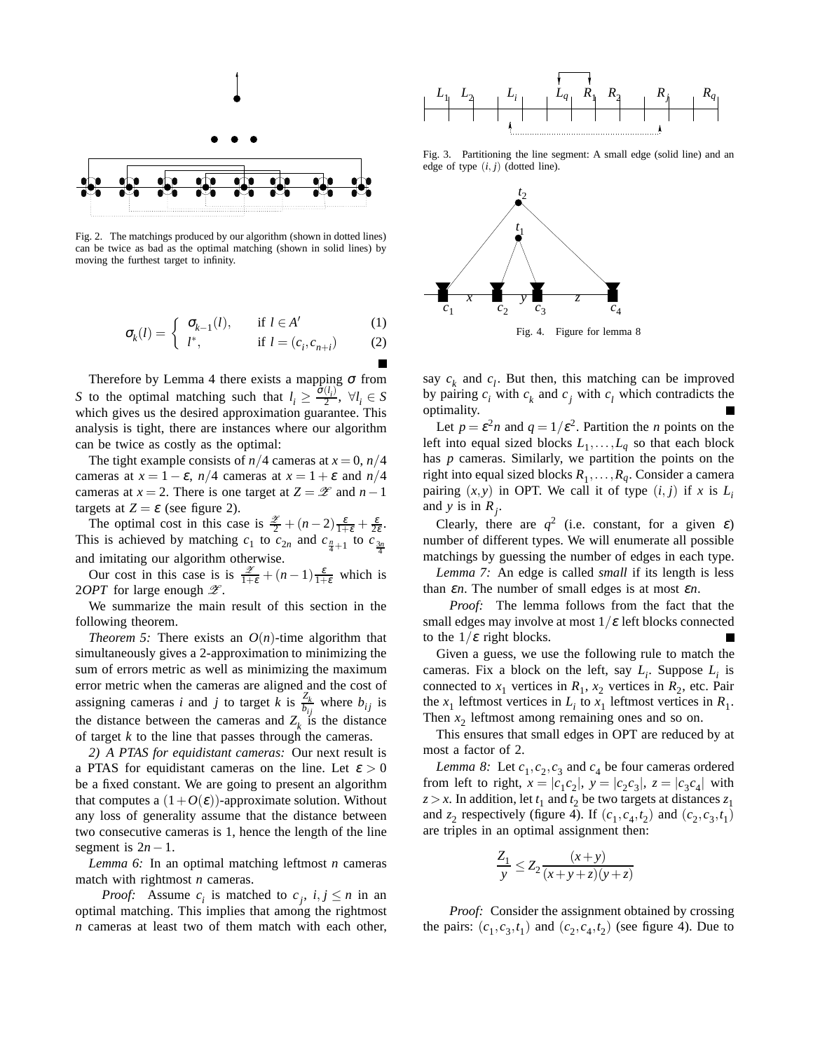

Fig. 2. The matchings produced by our algorithm (shown in dotted lines) can be twice as bad as the optimal matching (shown in solid lines) by moving the furthest target to infinity.

$$
\sigma_k(l) = \begin{cases} \sigma_{k-1}(l), & \text{if } l \in A' \\ l^*, & \text{if } l = (c_i, c_{n+i}) \end{cases} \tag{1}
$$

) (2)

Therefore by Lemma 4 there exists a mapping  $\sigma$  from *S* to the optimal matching such that  $l_i \geq \frac{\hat{\sigma}(l_i)}{2}$ ,  $\forall l_i \in S$ which gives us the desired approximation guarantee. This analysis is tight, there are instances where our algorithm can be twice as costly as the optimal:

The tight example consists of  $n/4$  cameras at  $x = 0$ ,  $n/4$ cameras at  $x = 1 - \varepsilon$ ,  $n/4$  cameras at  $x = 1 + \varepsilon$  and  $n/4$ cameras at  $x = 2$ . There is one target at  $Z = \mathscr{Z}$  and  $n-1$ targets at  $Z = \varepsilon$  (see figure 2).

The optimal cost in this case is  $\frac{x}{2} + (n-2) \frac{\varepsilon}{1+\varepsilon} + \frac{\varepsilon}{2\varepsilon}$ . This is achieved by matching  $c_1$  to  $c_{2n}$  and  $c_{\frac{n}{4}+1}$  to  $c_{\frac{3n}{4}}$ and imitating our algorithm otherwise.

Our cost in this case is is  $\frac{x}{1+\epsilon} + (n-1)\frac{\epsilon}{1+\epsilon}$  which is 2*OPT* for large enough  $\mathscr{Z}$ .

We summarize the main result of this section in the following theorem.

*Theorem 5:* There exists an  $O(n)$ -time algorithm that simultaneously gives a 2-approximation to minimizing the sum of errors metric as well as minimizing the maximum error metric when the cameras are aligned and the cost of assigning cameras *i* and *j* to target *k* is  $\frac{Z_k}{b_{ij}}$  where  $b_{ij}$  is the distance between the cameras and  $Z_k$  is the distance of target *k* to the line that passes through the cameras.

*2) A PTAS for equidistant cameras:* Our next result is a PTAS for equidistant cameras on the line. Let  $\varepsilon > 0$ be a fixed constant. We are going to present an algorithm that computes a  $(1+O(\varepsilon))$ -approximate solution. Without any loss of generality assume that the distance between two consecutive cameras is 1, hence the length of the line segment is  $2n-1$ .

*Lemma 6:* In an optimal matching leftmost *n* cameras match with rightmost *n* cameras.

*Proof:* Assume  $c_i$  is matched to  $c_j$ ,  $i, j \leq n$  in an optimal matching. This implies that among the rightmost *n* cameras at least two of them match with each other,



Fig. 3. Partitioning the line segment: A small edge (solid line) and an edge of type  $(i, j)$  (dotted line).



say  $c_k$  and  $c_l$ . But then, this matching can be improved by pairing  $c_i$  with  $c_k$  and  $c_j$  with  $c_l$  which contradicts the optimality.

Let  $p = \varepsilon^2 n$  and  $q = 1/\varepsilon^2$ . Partition the *n* points on the left into equal sized blocks  $L_1, \ldots, L_q$  so that each block has *p* cameras. Similarly, we partition the points on the right into equal sized blocks  $R_1, \ldots, R_q$ . Consider a camera pairing  $(x, y)$  in OPT. We call it of type  $(i, j)$  if *x* is  $L_i$ and *y* is in  $R_j$ .

Clearly, there are  $q^2$  (i.e. constant, for a given  $\varepsilon$ ) number of different types. We will enumerate all possible matchings by guessing the number of edges in each type.

*Lemma 7:* An edge is called *small* if its length is less than <sup>ε</sup>*n*. The number of small edges is at most <sup>ε</sup>*n*.

*Proof:* The lemma follows from the fact that the small edges may involve at most  $1/\varepsilon$  left blocks connected to the  $1/\varepsilon$  right blocks.

Given a guess, we use the following rule to match the cameras. Fix a block on the left, say  $L_i$ . Suppose  $L_i$  is connected to  $x_1$  vertices in  $R_1$ ,  $x_2$  vertices in  $R_2$ , etc. Pair the  $x_1$  leftmost vertices in  $L_i$  to  $x_1$  leftmost vertices in  $R_1$ . Then  $x_2$  leftmost among remaining ones and so on.

This ensures that small edges in OPT are reduced by at most a factor of 2.

*Lemma 8:* Let  $c_1$ ,  $c_2$ ,  $c_3$  and  $c_4$  be four cameras ordered from left to right,  $x = |c_1 c_2|$ ,  $y = |c_2 c_3|$ ,  $z = |c_3 c_4|$  with  $z > x$ . In addition, let  $t_1$  and  $t_2$  be two targets at distances  $z_1$ and  $z_2$  respectively (figure 4). If  $(c_1, c_4, t_2)$  and  $(c_2, c_3, t_1)$ are triples in an optimal assignment then:

$$
\frac{Z_1}{y} \le Z_2 \frac{(x+y)}{(x+y+z)(y+z)}
$$

*Proof:* Consider the assignment obtained by crossing the pairs:  $(c_1, c_3, t_1)$  and  $(c_2, c_4, t_2)$  (see figure 4). Due to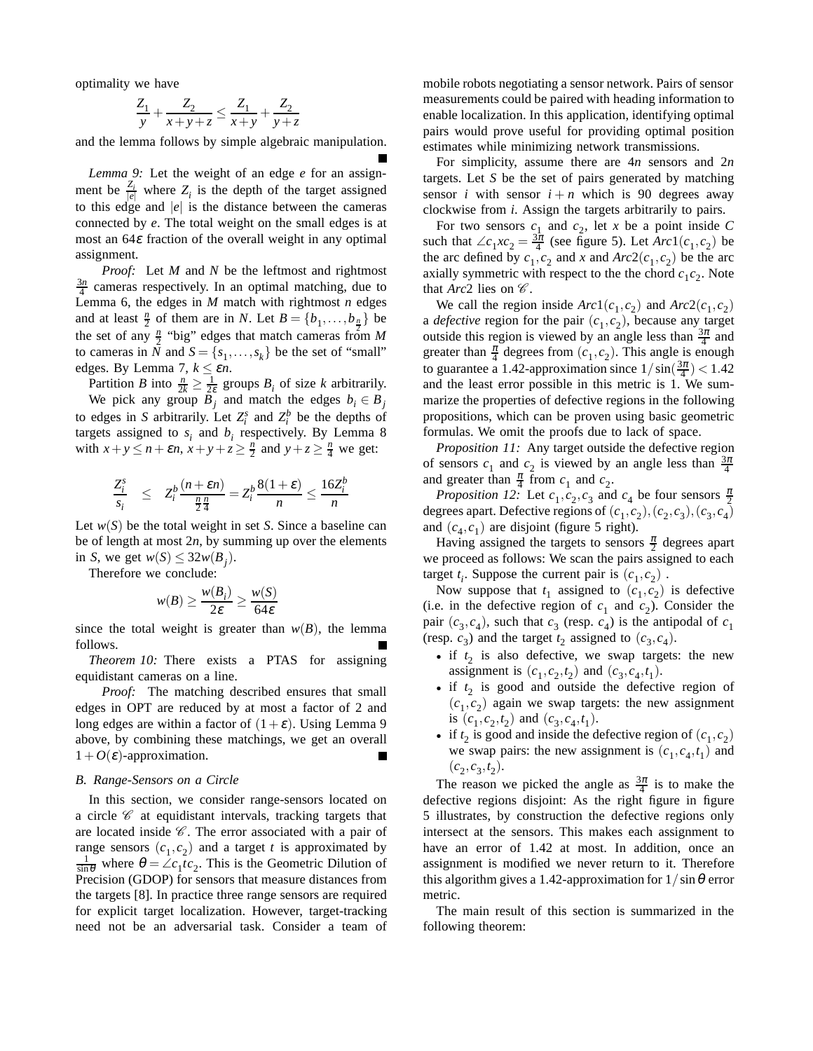optimality we have

$$
\frac{Z_1}{y} + \frac{Z_2}{x+y+z} \le \frac{Z_1}{x+y} + \frac{Z_2}{y+z}
$$

and the lemma follows by simple algebraic manipulation.

*Lemma 9:* Let the weight of an edge *e* for an assignment be  $\frac{Z_i}{|e|}$  where  $Z_i$  is the depth of the target assigned to this edge and  $|e|$  is the distance between the cameras connected by *e*. The total weight on the small edges is at most an  $64\varepsilon$  fraction of the overall weight in any optimal assignment.

*Proof:* Let *M* and *N* be the leftmost and rightmost  $\frac{3n}{4}$  cameras respectively. In an optimal matching, due to Lemma 6, the edges in *M* match with rightmost *n* edges and at least  $\frac{n}{2}$  of them are in *N*. Let  $B = \{b_1, \ldots, b_{\frac{n}{2}}\}$  be the set of any  $\frac{n}{2}$  "big" edges that match cameras from *M* to cameras in *N* and  $S = \{s_1, \ldots, s_k\}$  be the set of "small" edges. By Lemma 7,  $k \leq \varepsilon n$ .

Partition *B* into  $\frac{n}{2k} \geq \frac{1}{2\varepsilon}$  groups  $B_i$  of size *k* arbitrarily.

We pick any group  $B_i$  and match the edges  $b_i \in B_j$ to edges in *S* arbitrarily. Let  $Z_i^s$  and  $Z_i^b$  be the depths of targets assigned to  $s_i$  and  $b_i$  respectively. By Lemma 8 with  $x + y \le n + \varepsilon n$ ,  $x + y + z \ge \frac{n}{2}$  and  $y + z \ge \frac{n}{4}$  we get:

$$
\frac{Z_i^s}{s_i} \le Z_i^b \frac{(n+\varepsilon n)}{\frac{n}{2}\frac{n}{4}} = Z_i^b \frac{8(1+\varepsilon)}{n} \le \frac{16Z_i^b}{n}
$$

Let  $w(S)$  be the total weight in set *S*. Since a baseline can be of length at most 2*n*, by summing up over the elements in *S*, we get  $w(S) \leq 32w(B_j)$ .

Therefore we conclude:

$$
w(B) \ge \frac{w(B_i)}{2\varepsilon} \ge \frac{w(S)}{64\varepsilon}
$$

since the total weight is greater than  $w(B)$ , the lemma follows.

*Theorem 10:* There exists a PTAS for assigning equidistant cameras on a line.

*Proof:* The matching described ensures that small edges in OPT are reduced by at most a factor of 2 and long edges are within a factor of  $(1+\varepsilon)$ . Using Lemma 9 above, by combining these matchings, we get an overall  $1+O(\varepsilon)$ -approximation.

#### *B. Range-Sensors on a Circle*

In this section, we consider range-sensors located on a circle  $\mathscr C$  at equidistant intervals, tracking targets that are located inside  $C$ . The error associated with a pair of range sensors  $(c_1, c_2)$  and a target *t* is approximated by  $\frac{1}{\sin \theta}$  where  $\theta = \angle c_1 \vec{c}_2$ . This is the Geometric Dilution of Precision (GDOP) for sensors that measure distances from the targets [8]. In practice three range sensors are required for explicit target localization. However, target-tracking need not be an adversarial task. Consider a team of mobile robots negotiating a sensor network. Pairs of sensor measurements could be paired with heading information to enable localization. In this application, identifying optimal pairs would prove useful for providing optimal position estimates while minimizing network transmissions.

For simplicity, assume there are 4*n* sensors and 2*n* targets. Let *S* be the set of pairs generated by matching sensor *i* with sensor  $i + n$  which is 90 degrees away clockwise from *i*. Assign the targets arbitrarily to pairs.

For two sensors  $c_1$  and  $c_2$ , let x be a point inside C such that  $\angle c_1 x c_2 = \frac{3\pi}{4}$  (see figure 5). Let  $Arc1(c_1, c_2)$  be the arc defined by  $c_1$ ,  $c_2$  and *x* and  $Arc2(c_1, c_2)$  be the arc axially symmetric with respect to the the chord  $c_1c_2$ . Note that  $Arc2$  lies on  $\mathscr{C}$ .

We call the region inside  $Arc1(c_1, c_2)$  and  $Arc2(c_1, c_2)$ a *defective* region for the pair  $(c_1, c_2)$ , because any target outside this region is viewed by an angle less than  $\frac{3\pi}{4}$  and greater than  $\frac{\pi}{4}$  degrees from  $(c_1, c_2)$ . This angle is enough to guarantee a 1.42-approximation since  $1/\sin(\frac{3\pi}{4}) < 1.42$ and the least error possible in this metric is 1. We summarize the properties of defective regions in the following propositions, which can be proven using basic geometric formulas. We omit the proofs due to lack of space.

*Proposition 11:* Any target outside the defective region of sensors  $c_1$  and  $c_2$  is viewed by an angle less than  $\frac{3\pi}{4}$ and greater than  $\frac{\pi}{4}$  from  $c_1$  and  $c_2$ .

*Proposition 12:* Let  $c_1$ ,  $c_2$ ,  $c_3$  and  $c_4$  be four sensors  $\frac{\pi}{2}$ degrees apart. Defective regions of  $(c_1, c_2), (c_2, c_3), (c_3, c_4)$ and  $(c_4, c_1)$  are disjoint (figure 5 right).

Having assigned the targets to sensors  $\frac{\pi}{2}$  degrees apart we proceed as follows: We scan the pairs assigned to each target  $t_i$ . Suppose the current pair is  $(c_1, c_2)$ .

Now suppose that  $t_1$  assigned to  $(c_1, c_2)$  is defective (i.e. in the defective region of  $c_1$  and  $c_2$ ). Consider the pair  $(c_3, c_4)$ , such that  $c_3$  (resp.  $c_4$ ) is the antipodal of  $c_1$ (resp.  $c_3$ ) and the target  $t_2$  assigned to  $(c_3, c_4)$ .

- if  $t_2$  is also defective, we swap targets: the new assignment is  $(c_1, c_2, t_2)$  and  $(c_3, c_4, t_1)$ .
- if  $t_2$  is good and outside the defective region of  $(c_1, c_2)$  again we swap targets: the new assignment is  $(c_1, c_2, t_2)$  and  $(c_3, c_4, t_1)$ .
- if  $t_2$  is good and inside the defective region of  $(c_1, c_2)$ we swap pairs: the new assignment is  $(c_1, c_4, t_1)$  and  $(c_2, c_3, t_2).$

The reason we picked the angle as  $\frac{3\pi}{4}$  is to make the defective regions disjoint: As the right figure in figure 5 illustrates, by construction the defective regions only intersect at the sensors. This makes each assignment to have an error of 1.42 at most. In addition, once an assignment is modified we never return to it. Therefore this algorithm gives a 1.42-approximation for  $1/\sin\theta$  error metric.

The main result of this section is summarized in the following theorem: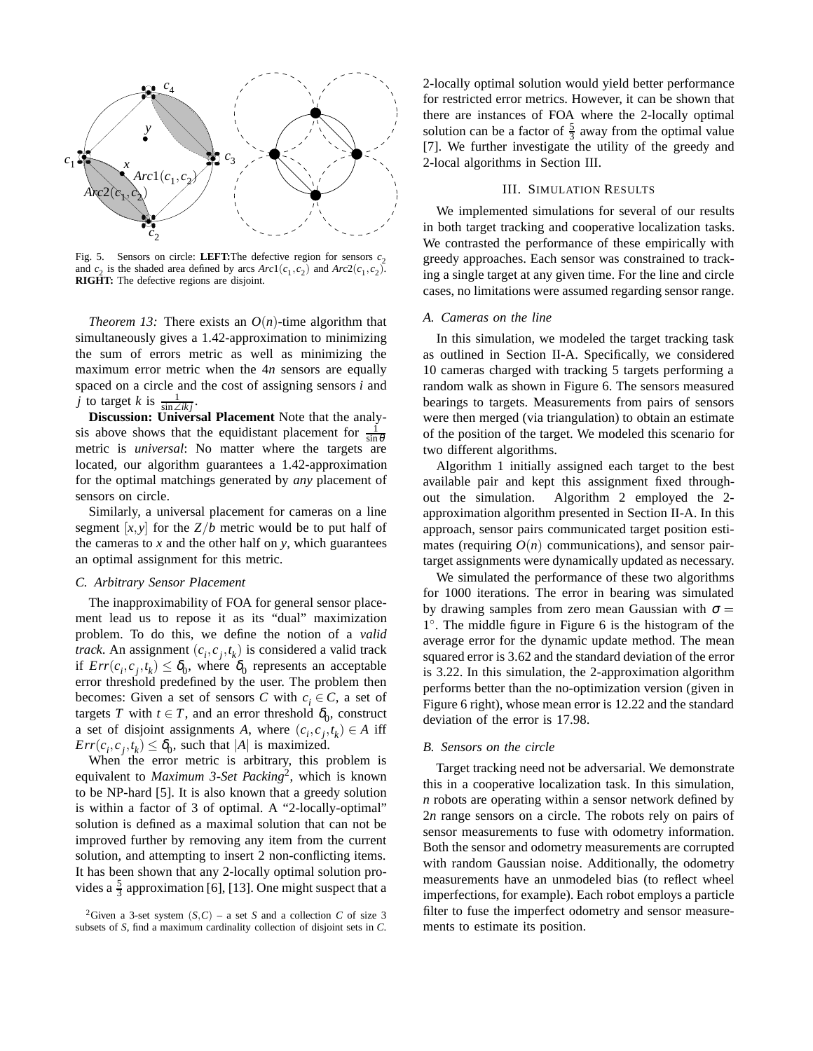

Fig. 5. Sensors on circle: **LEFT:**The defective region for sensors  $c_2$ and  $c_2$  is the shaded area defined by arcs  $Arc1(c_1, c_2)$  and  $Arc2(c_1, c_2)$ . **RIGHT:** The defective regions are disjoint.

*Theorem 13:* There exists an  $O(n)$ -time algorithm that simultaneously gives a 1.42-approximation to minimizing the sum of errors metric as well as minimizing the maximum error metric when the 4*n* sensors are equally spaced on a circle and the cost of assigning sensors *i* and *j* to target *k* is  $\frac{1}{\sin \angle ikj}$ .

**Discussion: Universal Placement** Note that the analysis above shows that the equidistant placement for  $\frac{1}{\sin \theta}$ metric is *universal*: No matter where the targets are located, our algorithm guarantees a 1.42-approximation for the optimal matchings generated by *any* placement of sensors on circle.

Similarly, a universal placement for cameras on a line segment  $[x, y]$  for the  $Z/b$  metric would be to put half of the cameras to  $x$  and the other half on  $y$ , which guarantees an optimal assignment for this metric.

## *C. Arbitrary Sensor Placement*

The inapproximability of FOA for general sensor placement lead us to repose it as its "dual" maximization problem. To do this, we define the notion of a *valid track*. An assignment  $(c_i, c_j, t_k)$  is considered a valid track if  $Err(c_i, c_j, t_k) \leq \delta_0$ , where  $\delta_0$  represents an acceptable error threshold predefined by the user. The problem then becomes: Given a set of sensors *C* with  $c_i \in C$ , a set of targets *T* with  $t \in T$ , and an error threshold  $\delta_0$ , construct a set of disjoint assignments *A*, where  $(c_i, c_j, t_k) \in A$  iff  $Err(c_i, c_j, t_k) \leq \delta_0$ , such that |*A*| is maximized.

When the error metric is arbitrary, this problem is equivalent to *Maximum 3-Set Packing*2, which is known to be NP-hard [5]. It is also known that a greedy solution is within a factor of 3 of optimal. A "2-locally-optimal" solution is defined as a maximal solution that can not be improved further by removing any item from the current solution, and attempting to insert 2 non-conflicting items. It has been shown that any 2-locally optimal solution provides a  $\frac{5}{3}$  approximation [6], [13]. One might suspect that a 2-locally optimal solution would yield better performance for restricted error metrics. However, it can be shown that there are instances of FOA where the 2-locally optimal solution can be a factor of  $\frac{5}{3}$  away from the optimal value [7]. We further investigate the utility of the greedy and 2-local algorithms in Section III.

# III. SIMULATION RESULTS

We implemented simulations for several of our results in both target tracking and cooperative localization tasks. We contrasted the performance of these empirically with greedy approaches. Each sensor was constrained to tracking a single target at any given time. For the line and circle cases, no limitations were assumed regarding sensor range.

#### *A. Cameras on the line*

In this simulation, we modeled the target tracking task as outlined in Section II-A. Specifically, we considered 10 cameras charged with tracking 5 targets performing a random walk as shown in Figure 6. The sensors measured bearings to targets. Measurements from pairs of sensors were then merged (via triangulation) to obtain an estimate of the position of the target. We modeled this scenario for two different algorithms.

Algorithm 1 initially assigned each target to the best available pair and kept this assignment fixed throughout the simulation. Algorithm 2 employed the 2 approximation algorithm presented in Section II-A. In this approach, sensor pairs communicated target position estimates (requiring  $O(n)$  communications), and sensor pairtarget assignments were dynamically updated as necessary.

We simulated the performance of these two algorithms for 1000 iterations. The error in bearing was simulated by drawing samples from zero mean Gaussian with  $\sigma =$ 1◦. The middle figure in Figure 6 is the histogram of the average error for the dynamic update method. The mean squared error is 3.62 and the standard deviation of the error is 3.22. In this simulation, the 2-approximation algorithm performs better than the no-optimization version (given in Figure 6 right), whose mean error is 12.22 and the standard deviation of the error is 17.98.

## *B. Sensors on the circle*

Target tracking need not be adversarial. We demonstrate this in a cooperative localization task. In this simulation, *n* robots are operating within a sensor network defined by 2*n* range sensors on a circle. The robots rely on pairs of sensor measurements to fuse with odometry information. Both the sensor and odometry measurements are corrupted with random Gaussian noise. Additionally, the odometry measurements have an unmodeled bias (to reflect wheel imperfections, for example). Each robot employs a particle filter to fuse the imperfect odometry and sensor measurements to estimate its position.

<sup>&</sup>lt;sup>2</sup>Given a 3-set system  $(S, C)$  – a set *S* and a collection *C* of size 3 subsets of *S*, find a maximum cardinality collection of disjoint sets in *C*.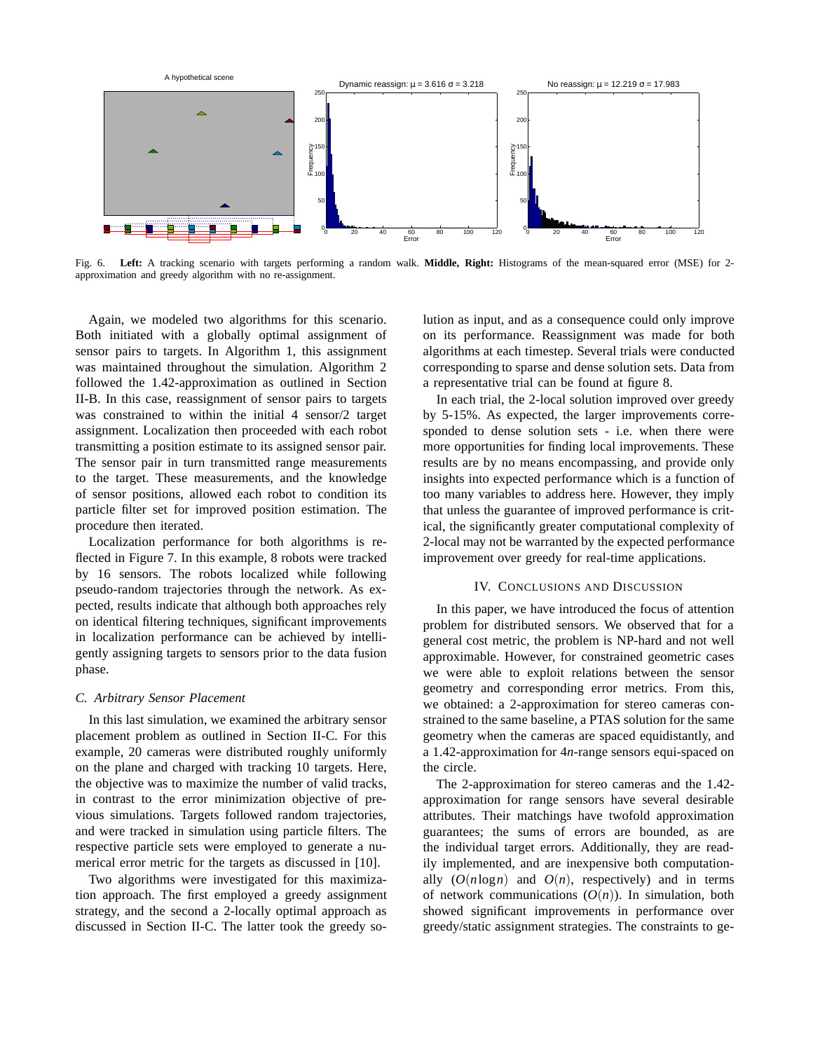

Fig. 6. **Left:** A tracking scenario with targets performing a random walk. **Middle, Right:** Histograms of the mean-squared error (MSE) for 2 approximation and greedy algorithm with no re-assignment.

Again, we modeled two algorithms for this scenario. Both initiated with a globally optimal assignment of sensor pairs to targets. In Algorithm 1, this assignment was maintained throughout the simulation. Algorithm 2 followed the 1.42-approximation as outlined in Section II-B. In this case, reassignment of sensor pairs to targets was constrained to within the initial 4 sensor/2 target assignment. Localization then proceeded with each robot transmitting a position estimate to its assigned sensor pair. The sensor pair in turn transmitted range measurements to the target. These measurements, and the knowledge of sensor positions, allowed each robot to condition its particle filter set for improved position estimation. The procedure then iterated.

Localization performance for both algorithms is reflected in Figure 7. In this example, 8 robots were tracked by 16 sensors. The robots localized while following pseudo-random trajectories through the network. As expected, results indicate that although both approaches rely on identical filtering techniques, significant improvements in localization performance can be achieved by intelligently assigning targets to sensors prior to the data fusion phase.

## *C. Arbitrary Sensor Placement*

In this last simulation, we examined the arbitrary sensor placement problem as outlined in Section II-C. For this example, 20 cameras were distributed roughly uniformly on the plane and charged with tracking 10 targets. Here, the objective was to maximize the number of valid tracks, in contrast to the error minimization objective of previous simulations. Targets followed random trajectories, and were tracked in simulation using particle filters. The respective particle sets were employed to generate a numerical error metric for the targets as discussed in [10].

Two algorithms were investigated for this maximization approach. The first employed a greedy assignment strategy, and the second a 2-locally optimal approach as discussed in Section II-C. The latter took the greedy solution as input, and as a consequence could only improve on its performance. Reassignment was made for both algorithms at each timestep. Several trials were conducted corresponding to sparse and dense solution sets. Data from a representative trial can be found at figure 8.

In each trial, the 2-local solution improved over greedy by 5-15%. As expected, the larger improvements corresponded to dense solution sets - i.e. when there were more opportunities for finding local improvements. These results are by no means encompassing, and provide only insights into expected performance which is a function of too many variables to address here. However, they imply that unless the guarantee of improved performance is critical, the significantly greater computational complexity of 2-local may not be warranted by the expected performance improvement over greedy for real-time applications.

### IV. CONCLUSIONS AND DISCUSSION

In this paper, we have introduced the focus of attention problem for distributed sensors. We observed that for a general cost metric, the problem is NP-hard and not well approximable. However, for constrained geometric cases we were able to exploit relations between the sensor geometry and corresponding error metrics. From this, we obtained: a 2-approximation for stereo cameras constrained to the same baseline, a PTAS solution for the same geometry when the cameras are spaced equidistantly, and a 1.42-approximation for 4*n*-range sensors equi-spaced on the circle.

The 2-approximation for stereo cameras and the 1.42 approximation for range sensors have several desirable attributes. Their matchings have twofold approximation guarantees; the sums of errors are bounded, as are the individual target errors. Additionally, they are readily implemented, and are inexpensive both computationally  $(O(n \log n)$  and  $O(n)$ , respectively) and in terms of network communications  $(O(n))$ . In simulation, both showed significant improvements in performance over greedy/static assignment strategies. The constraints to ge-